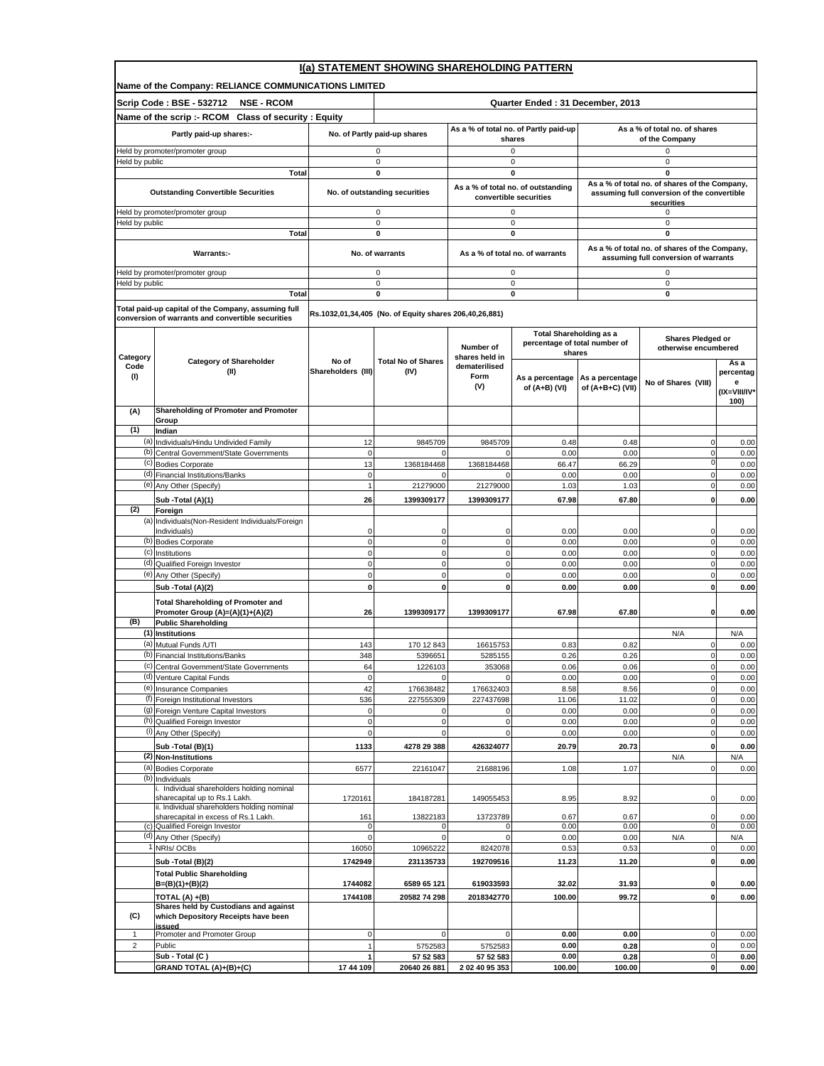|                                 | I(a) STATEMENT SHOWING SHAREHOLDING PATTERN                                         |                            |                                                        |                             |                                                                 |                  |                                                                                       |                   |  |
|---------------------------------|-------------------------------------------------------------------------------------|----------------------------|--------------------------------------------------------|-----------------------------|-----------------------------------------------------------------|------------------|---------------------------------------------------------------------------------------|-------------------|--|
|                                 | Name of the Company: RELIANCE COMMUNICATIONS LIMITED                                |                            |                                                        |                             |                                                                 |                  |                                                                                       |                   |  |
|                                 | Scrip Code: BSE - 532712<br><b>NSE - RCOM</b>                                       |                            |                                                        |                             | Quarter Ended: 31 December, 2013                                |                  |                                                                                       |                   |  |
|                                 | Name of the scrip :- RCOM Class of security : Equity                                |                            |                                                        |                             | As a % of total no. of Partly paid-up                           |                  | As a % of total no. of shares                                                         |                   |  |
|                                 | Partly paid-up shares:-                                                             |                            | No. of Partly paid-up shares                           |                             | shares                                                          |                  | of the Company                                                                        |                   |  |
| Held by promoter/promoter group |                                                                                     |                            | 0<br>$\mathbf 0$                                       |                             | 0                                                               |                  | 0<br>$\pmb{0}$                                                                        |                   |  |
| Held by public                  | Total                                                                               |                            | $\mathbf{0}$                                           | $\mathbf 0$<br>$\mathbf{0}$ |                                                                 |                  | $\mathbf 0$                                                                           |                   |  |
|                                 | <b>Outstanding Convertible Securities</b>                                           |                            | No. of outstanding securities                          |                             | As a % of total no. of outstanding                              |                  | As a % of total no. of shares of the Company,                                         |                   |  |
|                                 | Held by promoter/promoter group                                                     |                            | $\mathsf 0$                                            |                             | convertible securities<br>$\mathsf 0$                           |                  | assuming full conversion of the convertible<br>securities<br>0                        |                   |  |
| Held by public                  |                                                                                     |                            | $\mathsf 0$                                            |                             | $\mathsf 0$                                                     |                  | 0                                                                                     |                   |  |
|                                 | Total                                                                               |                            | $\pmb{0}$                                              |                             | $\pmb{0}$                                                       |                  | 0                                                                                     |                   |  |
|                                 | Warrants:-                                                                          |                            | No. of warrants                                        |                             | As a % of total no. of warrants                                 |                  | As a % of total no. of shares of the Company,<br>assuming full conversion of warrants |                   |  |
|                                 | Held by promoter/promoter group                                                     |                            | 0                                                      |                             | 0                                                               |                  | 0                                                                                     |                   |  |
| Held by public                  | Total                                                                               |                            | $\mathsf 0$<br>0                                       |                             | $\mathsf 0$<br>0                                                |                  | 0<br>0                                                                                |                   |  |
|                                 | Total paid-up capital of the Company, assuming full                                 |                            |                                                        |                             |                                                                 |                  |                                                                                       |                   |  |
|                                 | conversion of warrants and convertible securities                                   |                            | Rs.1032,01,34,405 (No. of Equity shares 206,40,26,881) |                             |                                                                 |                  |                                                                                       |                   |  |
|                                 |                                                                                     |                            |                                                        | Number of                   | <b>Total Shareholding as a</b><br>percentage of total number of |                  | Shares Pledged or<br>otherwise encumbered                                             |                   |  |
| Category                        | <b>Category of Shareholder</b>                                                      | No of                      | <b>Total No of Shares</b>                              | shares held in              | shares                                                          |                  |                                                                                       | As a              |  |
| Code<br>(1)                     | (II)                                                                                | Shareholders (III)         | (IV)                                                   | dematerilised<br>Form       | As a percentage                                                 | As a percentage  |                                                                                       | percentag         |  |
|                                 |                                                                                     |                            |                                                        | (V)                         | of (A+B) (VI)                                                   | of (A+B+C) (VII) | No of Shares (VIII)                                                                   | е<br>(IX=VIII/IV* |  |
| (A)                             | Shareholding of Promoter and Promoter                                               |                            |                                                        |                             |                                                                 |                  |                                                                                       | 100)              |  |
| (1)                             | Group<br>Indian                                                                     |                            |                                                        |                             |                                                                 |                  |                                                                                       |                   |  |
|                                 | (a) Individuals/Hindu Undivided Family                                              | 12                         | 9845709                                                | 9845709                     | 0.48                                                            | 0.48             | $\mathbf 0$                                                                           | 0.00              |  |
| (b)                             | Central Government/State Governments                                                | $\mathbf 0$                | $\mathbf 0$                                            |                             | 0.00                                                            | 0.00             | $\mathbf 0$                                                                           | 0.00              |  |
|                                 | (c) Bodies Corporate<br>(d) Financial Institutions/Banks                            | 13<br>$\mathbf 0$          | 1368184468                                             | 1368184468                  | 66.47<br>0.00                                                   | 66.29<br>0.00    | $\mathbf 0$<br>$\mathbf 0$                                                            | 0.00<br>0.00      |  |
|                                 | (e) Any Other (Specify)                                                             | $\overline{1}$             | 21279000                                               | 21279000                    | 1.03                                                            | 1.03             | $\pmb{0}$                                                                             | 0.00              |  |
|                                 | Sub -Total (A)(1)                                                                   | 26                         | 1399309177                                             | 1399309177                  | 67.98                                                           | 67.80            | $\mathbf 0$                                                                           | 0.00              |  |
| (2)                             | Foreign                                                                             |                            |                                                        |                             |                                                                 |                  |                                                                                       |                   |  |
| (a)                             | Individuals (Non-Resident Individuals/Foreign<br>Individuals)                       | 0                          | 0                                                      | 0                           | 0.00                                                            | 0.00             | 0                                                                                     | 0.00              |  |
|                                 | (b) Bodies Corporate                                                                | $\mathbf 0$                | $\mathbf{0}$                                           | $\mathbf 0$                 | 0.00                                                            | 0.00             | $\mathbf 0$                                                                           | 0.00              |  |
|                                 | (c) Institutions<br>(d) Qualified Foreign Investor                                  | $\mathbf 0$                | $\mathbf{0}$<br>$\mathbf{0}$                           | $\mathbf 0$                 | 0.00                                                            | 0.00             | $\pmb{0}$                                                                             | 0.00              |  |
|                                 | (e) Any Other (Specify)                                                             | $\mathbf 0$<br>$\mathbf 0$ | $\mathbf 0$                                            | $\mathbf 0$<br>$\mathbf 0$  | 0.00<br>0.00                                                    | 0.00<br>0.00     | $\mathbf 0$<br>$\mathbf 0$                                                            | 0.00<br>0.00      |  |
|                                 | Sub -Total (A)(2)                                                                   | $\mathbf{0}$               | <sub>0</sub>                                           | 0                           | 0.00                                                            | 0.00             | $\pmb{0}$                                                                             | 0.00              |  |
|                                 | <b>Total Shareholding of Promoter and</b>                                           |                            |                                                        |                             |                                                                 |                  |                                                                                       |                   |  |
| (B)                             | Promoter Group (A)=(A)(1)+(A)(2)<br><b>Public Shareholding</b>                      | 26                         | 1399309177                                             | 1399309177                  | 67.98                                                           | 67.80            | 0                                                                                     | 0.00              |  |
|                                 | (1) Institutions                                                                    |                            |                                                        |                             |                                                                 |                  | N/A                                                                                   | N/A               |  |
| (a)                             | Mutual Funds /UTI                                                                   | 143                        | 170 12 843                                             | 16615753                    | 0.83                                                            | 0.82             | $\mathbf 0$                                                                           | 0.00              |  |
|                                 | (b) Financial Institutions/Banks<br>(c) Central Government/State Governments        | 348<br>64                  | 5396651<br>1226103                                     | 5285155<br>353068           | 0.26<br>0.06                                                    | 0.26<br>0.06     | $\mathbf 0$                                                                           | 0.00<br>0.00      |  |
|                                 | (d) Venture Capital Funds                                                           | $\mathbf 0$                | $\mathbf 0$                                            | $\Omega$                    | 0.00                                                            | 0.00             | $\pmb{0}$                                                                             | 0.00              |  |
|                                 | (e) Insurance Companies                                                             | 42                         | 176638482                                              | 176632403                   | 8.58                                                            | 8.56             | $\mathbf 0$                                                                           | 0.00              |  |
|                                 | (f) Foreign Institutional Investors<br>(g) Foreign Venture Capital Investors        | 536<br>$\pmb{0}$           | 227555309<br>$\mathbf 0$                               | 227437698                   | 11.06<br>0.00                                                   | 11.02<br>0.00    | $\pmb{0}$<br>$\mathbf 0$                                                              | 0.00<br>0.00      |  |
|                                 | (h) Qualified Foreign Investor                                                      | $\mathbf 0$                | $\circ$                                                | $\mathbf 0$                 | 0.00                                                            | 0.00             | $\pmb{0}$                                                                             | 0.00              |  |
|                                 | (i) Any Other (Specify)                                                             | $\mathbf 0$                | $\mathbf 0$                                            | $\mathbf 0$                 | 0.00                                                            | 0.00             | $\mathbf 0$                                                                           | 0.00              |  |
|                                 | Sub -Total (B)(1)                                                                   | 1133                       | 4278 29 388                                            | 426324077                   | 20.79                                                           | 20.73            | $\pmb{0}$                                                                             | 0.00              |  |
|                                 | (2) Non-Institutions<br>(a) Bodies Corporate                                        | 6577                       | 22161047                                               | 21688196                    | 1.08                                                            | 1.07             | N/A<br>$\pmb{0}$                                                                      | N/A<br>0.00       |  |
|                                 | (b) Individuals                                                                     |                            |                                                        |                             |                                                                 |                  |                                                                                       |                   |  |
|                                 | . Individual shareholders holding nominal<br>sharecapital up to Rs.1 Lakh.          | 1720161                    | 184187281                                              | 149055453                   | 8.95                                                            | 8.92             | $\mathbf 0$                                                                           | 0.00              |  |
|                                 | ii. Individual shareholders holding nominal<br>sharecapital in excess of Rs.1 Lakh. | 161                        | 13822183                                               | 13723789                    | 0.67                                                            | 0.67             | $\mathbf 0$                                                                           | 0.00              |  |
|                                 | (c) Qualified Foreign Investor                                                      | 0                          | $\mathbf 0$                                            | $\mathbf 0$                 | 0.00                                                            | 0.00             | $\mathbf 0$                                                                           | 0.00              |  |
|                                 | (d) Any Other (Specify)<br>NRIs/OCBs                                                | $\mathbf 0$<br>16050       | $\circ$<br>10965222                                    | 8242078                     | 0.00<br>0.53                                                    | 0.00<br>0.53     | N/A<br>$\mathbf 0$                                                                    | N/A<br>0.00       |  |
|                                 | Sub -Total (B)(2)                                                                   | 1742949                    | 231135733                                              | 192709516                   | 11.23                                                           | 11.20            | $\pmb{0}$                                                                             | 0.00              |  |
|                                 | <b>Total Public Shareholding</b>                                                    |                            |                                                        |                             |                                                                 |                  |                                                                                       |                   |  |
|                                 | B=(B)(1)+(B)(2)                                                                     | 1744082                    | 6589 65 121                                            | 619033593                   | 32.02                                                           | 31.93            | $\pmb{0}$                                                                             | 0.00              |  |
|                                 | TOTAL (A) +(B)<br>Shares held by Custodians and against                             | 1744108                    | 20582 74 298                                           | 2018342770                  | 100.00                                                          | 99.72            | $\pmb{0}$                                                                             | 0.00              |  |
| (C)                             | which Depository Receipts have been<br>issued                                       |                            |                                                        |                             |                                                                 |                  |                                                                                       |                   |  |
| 1<br>$\overline{\mathbf{c}}$    | Promoter and Promoter Group<br>Public                                               | 0<br>1                     | $\mathbf 0$                                            | $\mathbf 0$                 | 0.00<br>0.00                                                    | 0.00             | $\mathbf 0$<br>$\mathbf 0$                                                            | 0.00              |  |
|                                 | Sub - Total (C)                                                                     | $\mathbf{1}$               | 5752583<br>57 52 583                                   | 5752583<br>57 52 583        | 0.00                                                            | 0.28<br>0.28     | $\pmb{0}$                                                                             | 0.00<br>0.00      |  |
|                                 | GRAND TOTAL (A)+(B)+(C)                                                             | 17 44 109                  | 20640 26 881                                           | 2 02 40 95 353              | 100.00                                                          | 100.00           | $\mathbf{0}$                                                                          | $0.00\,$          |  |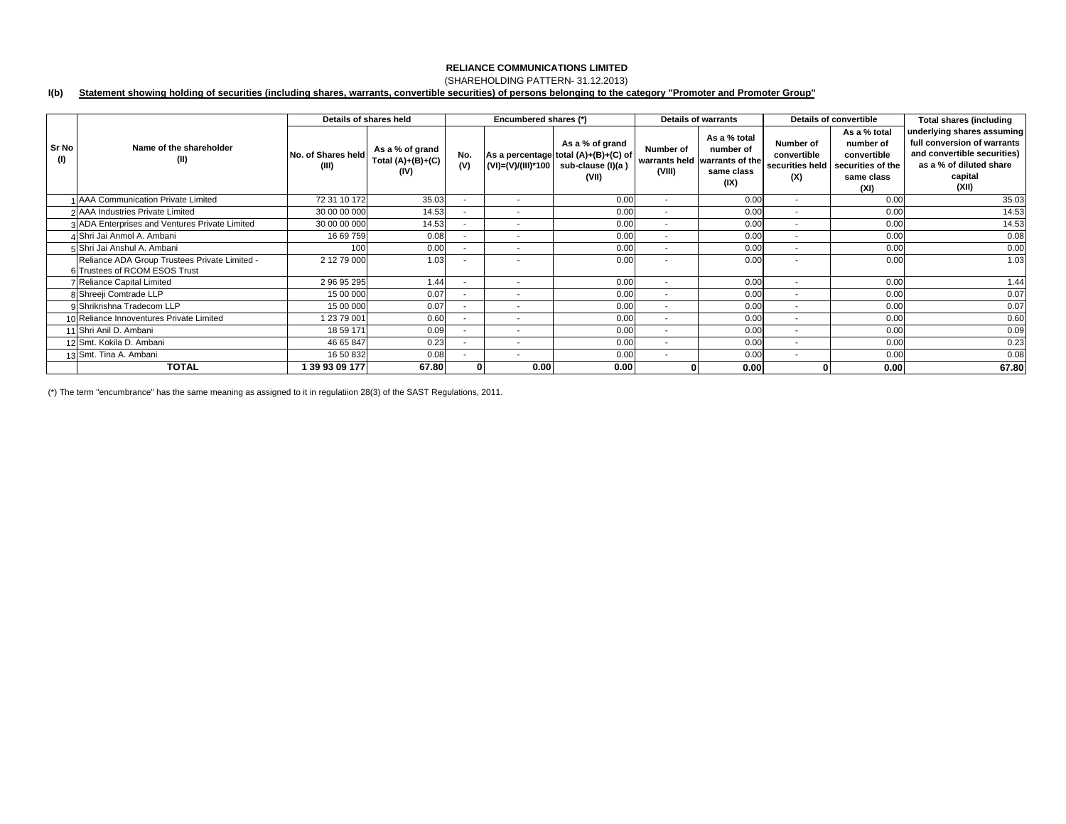## (SHAREHOLDING PATTERN- 31.12.2013)

#### **I(b) Statement showing holding of securities (including shares, warrants, convertible securities) of persons belonging to the category "Promoter and Promoter Group"**

|                            |                                                                                | Details of shares held      |                                                |                          | Encumbered shares (*)    |                                                                                       |                          | <b>Details of warrants</b>                                                       |                                                    | Details of convertible                                                              | <b>Total shares (including</b>                                                                                                          |
|----------------------------|--------------------------------------------------------------------------------|-----------------------------|------------------------------------------------|--------------------------|--------------------------|---------------------------------------------------------------------------------------|--------------------------|----------------------------------------------------------------------------------|----------------------------------------------------|-------------------------------------------------------------------------------------|-----------------------------------------------------------------------------------------------------------------------------------------|
| Sr No<br>(1)               | Name of the shareholder<br>(II)                                                | No. of Shares held<br>(III) | As a % of grand<br>Total $(A)+(B)+(C)$<br>(IV) | No.<br>(V)               | (VI)=(V)/(III)*100       | As a % of grand<br>As a percentage total (A)+(B)+(C) of<br>sub-clause (I)(a)<br>(VII) | Number of<br>(VIII)      | As a % total<br>number of<br>warrants held warrants of the<br>same class<br>(IX) | Number of<br>convertible<br>securities held<br>(X) | As a % total<br>number of<br>convertible<br>securities of the<br>same class<br>(XI) | underlying shares assuming<br>full conversion of warrants<br>and convertible securities)<br>as a % of diluted share<br>capital<br>(XII) |
|                            | AAA Communication Private Limited                                              | 72 31 10 172                | 35.03                                          |                          | $\overline{\phantom{a}}$ | 0.00                                                                                  | $\overline{\phantom{a}}$ | 0.00                                                                             | $\overline{\phantom{a}}$                           | 0.00                                                                                | 35.03                                                                                                                                   |
|                            | 2 AAA Industries Private Limited                                               | 30 00 00 000                | 14.53                                          | $\sim$                   | $\overline{\phantom{a}}$ | 0.00                                                                                  | $\sim$                   | 0.00                                                                             | $\overline{\phantom{a}}$                           | 0.00                                                                                | 14.53                                                                                                                                   |
|                            | 3 ADA Enterprises and Ventures Private Limited                                 | 30 00 00 000                | 14.53                                          | $\blacksquare$           | $\overline{\phantom{a}}$ | 0.00                                                                                  | $\overline{\phantom{a}}$ | 0.00                                                                             | $\overline{\phantom{a}}$                           | 0.00                                                                                | 14.53                                                                                                                                   |
| 4 Shri Jai Anmol A. Ambani |                                                                                | 16 69 759                   | 0.08                                           | $\overline{\phantom{a}}$ | $\overline{\phantom{a}}$ | 0.00                                                                                  | $\overline{\phantom{a}}$ | 0.00                                                                             | $\overline{\phantom{a}}$                           | 0.00                                                                                | 0.08                                                                                                                                    |
|                            | 5 Shri Jai Anshul A. Ambani                                                    | 100                         | 0.00                                           |                          |                          | 0.00                                                                                  |                          | 0.00                                                                             |                                                    | 0.00                                                                                | 0.00                                                                                                                                    |
|                            | Reliance ADA Group Trustees Private Limited -<br>6 Trustees of RCOM ESOS Trust | 2 12 79 000                 | 1.03                                           | ۰.                       | $\overline{\phantom{a}}$ | 0.00                                                                                  |                          | 0.00                                                                             | ٠                                                  | 0.00                                                                                | 1.03                                                                                                                                    |
|                            | Reliance Capital Limited                                                       | 2 96 95 295                 | 1.44                                           | $\overline{\phantom{a}}$ | $\sim$                   | 0.00                                                                                  | $\overline{\phantom{a}}$ | 0.00                                                                             | $\overline{\phantom{a}}$                           | 0.00                                                                                | 1.44                                                                                                                                    |
|                            | 8 Shreeji Comtrade LLP                                                         | 15 00 000                   | 0.07                                           | ۰.                       | $\overline{\phantom{a}}$ | 0.00                                                                                  | $\overline{\phantom{0}}$ | 0.00                                                                             | $\overline{\phantom{a}}$                           | 0.00                                                                                | 0.07                                                                                                                                    |
|                            | 9 Shrikrishna Tradecom LLP                                                     | 15 00 000                   | 0.07                                           | $\overline{\phantom{a}}$ | $\overline{\phantom{a}}$ | 0.00                                                                                  | $\overline{\phantom{a}}$ | 0.00                                                                             | $\overline{\phantom{a}}$                           | 0.00                                                                                | 0.07                                                                                                                                    |
|                            | 10 Reliance Innoventures Private Limited                                       | 1 23 79 001                 | 0.60                                           | $\sim$                   | $\overline{\phantom{a}}$ | 0.00                                                                                  | $\overline{\phantom{a}}$ | 0.00                                                                             | $\overline{\phantom{a}}$                           | 0.00                                                                                | 0.60                                                                                                                                    |
|                            | 1 Shri Anil D. Ambani                                                          | 18 59 171                   | 0.09                                           | $\sim$                   | $\overline{\phantom{a}}$ | 0.00                                                                                  | $\sim$                   | 0.00                                                                             | $\overline{\phantom{a}}$                           | 0.00                                                                                | 0.09                                                                                                                                    |
|                            | 12 Smt. Kokila D. Ambani                                                       | 46 65 847                   | 0.23                                           | $\overline{\phantom{a}}$ | $\overline{\phantom{a}}$ | 0.00                                                                                  | $\overline{\phantom{a}}$ | 0.00                                                                             | $\overline{\phantom{a}}$                           | 0.00                                                                                | 0.23                                                                                                                                    |
|                            | 13 Smt. Tina A. Ambani                                                         | 16 50 832                   | 0.08                                           |                          | $\overline{\phantom{a}}$ | 0.00                                                                                  | $\sim$                   | 0.00                                                                             | $\overline{\phantom{a}}$                           | 0.00                                                                                | 0.08                                                                                                                                    |
|                            | <b>TOTAL</b>                                                                   | 39 93 09 177                | 67.80                                          |                          | 0.00                     | 0.00                                                                                  |                          | 0.00                                                                             |                                                    | 0.00                                                                                | 67.80                                                                                                                                   |

(\*) The term "encumbrance" has the same meaning as assigned to it in regulatiion 28(3) of the SAST Regulations, 2011.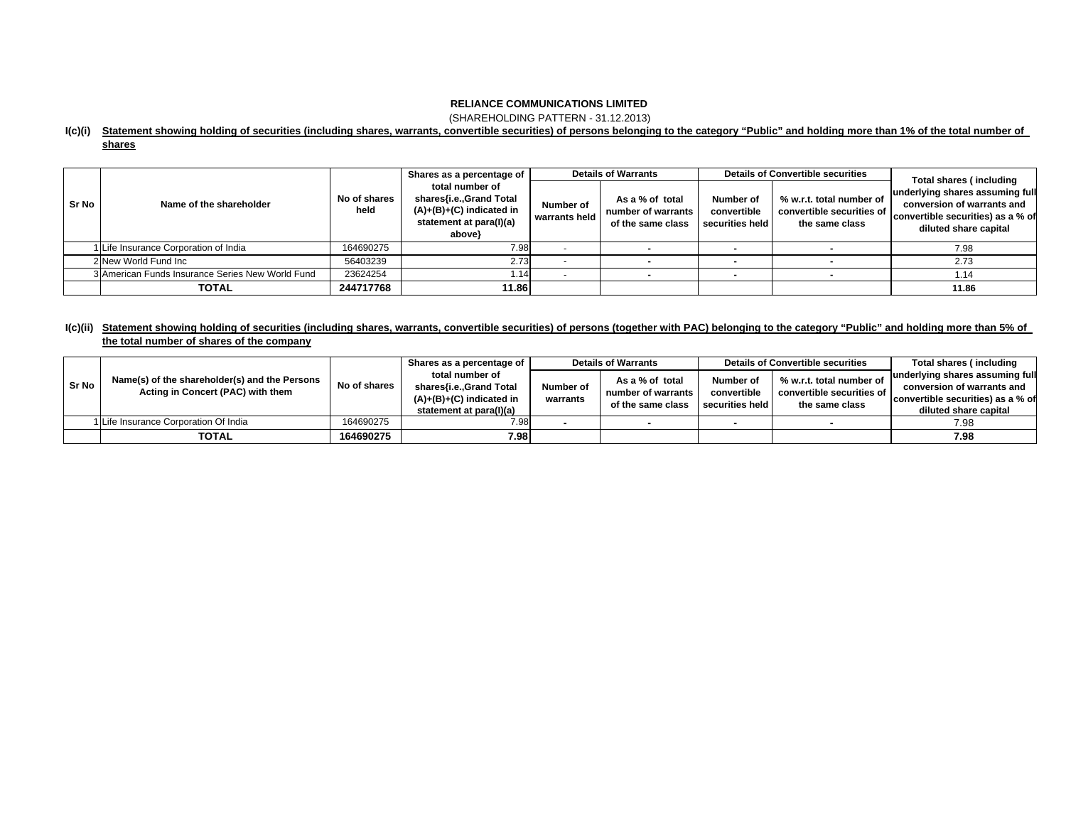(SHAREHOLDING PATTERN - 31.12.2013)

### **I(c)(i) Statement showing holding of securities (including shares, warrants, convertible securities) of persons belonging to the category "Public" and holding more than 1% of the total number of**

| . .<br>ш<br>. . |  |
|-----------------|--|
|                 |  |

|       |                                                  |                      | Shares as a percentage of                                                                                     | <b>Details of Warrants</b> |                                                            | <b>Details of Convertible securities</b>    |                                                                         | Total shares (including                                                                                                     |  |
|-------|--------------------------------------------------|----------------------|---------------------------------------------------------------------------------------------------------------|----------------------------|------------------------------------------------------------|---------------------------------------------|-------------------------------------------------------------------------|-----------------------------------------------------------------------------------------------------------------------------|--|
| Sr No | Name of the shareholder                          | No of shares<br>held | total number of<br>shares{i.e.,Grand Total<br>$(A)+(B)+(C)$ indicated in<br>statement at para(I)(a)<br>above} | Number of<br>warrants held | As a % of total<br>number of warrants<br>of the same class | Number of<br>convertible<br>securities held | % w.r.t. total number of<br>convertible securities of<br>the same class | underlying shares assuming full<br>conversion of warrants and<br>convertible securities) as a % of<br>diluted share capital |  |
|       | 1 Life Insurance Corporation of India            | 164690275            | 7.98                                                                                                          |                            |                                                            |                                             |                                                                         | 7.98                                                                                                                        |  |
|       | 2 New World Fund Inc                             | 56403239             | 2.73                                                                                                          |                            |                                                            |                                             |                                                                         | 2.73                                                                                                                        |  |
|       | 3 American Funds Insurance Series New World Fund | 23624254             | 1.14                                                                                                          |                            |                                                            |                                             |                                                                         | 1.14                                                                                                                        |  |
|       | <b>TOTAL</b>                                     | 244717768            | 11.86                                                                                                         |                            |                                                            |                                             |                                                                         | 11.86                                                                                                                       |  |

## l(c)(ii) Statement showing holding of securities (including shares, warrants, convertible securities) of persons (together with PAC) belonging to the category "Public" and holding more than 5% of **the total number of shares of the company**

|       |                                                                                    |              | Shares as a percentage of                                                        | <b>Details of Warrants</b> |                                                            | <b>Details of Convertible securities</b> |                                                                         | Total shares (including           |
|-------|------------------------------------------------------------------------------------|--------------|----------------------------------------------------------------------------------|----------------------------|------------------------------------------------------------|------------------------------------------|-------------------------------------------------------------------------|-----------------------------------|
|       | Name(s) of the shareholder(s) and the Persons<br>Acting in Concert (PAC) with them | No of shares | total number of                                                                  |                            | As a % of total<br>number of warrants<br>of the same class | Number of                                | % w.r.t. total number of<br>convertible securities of<br>the same class | underlying shares assuming full   |
| Sr No |                                                                                    |              | shares{i.e.,Grand Total<br>$(A)+(B)+(C)$ indicated in<br>statement at para(I)(a) | Number of<br>warrants      |                                                            | convertible                              |                                                                         | conversion of warrants and        |
|       |                                                                                    |              |                                                                                  |                            |                                                            | securities held                          |                                                                         | convertible securities) as a % of |
|       |                                                                                    |              |                                                                                  |                            |                                                            |                                          |                                                                         | diluted share capital             |
|       | 1 Life Insurance Corporation Of India                                              | 164690275    | 7.98                                                                             |                            |                                                            |                                          |                                                                         | 7.98                              |
|       | <b>TOTAL</b>                                                                       | 164690275    | 7.98                                                                             |                            |                                                            |                                          |                                                                         | 7.98                              |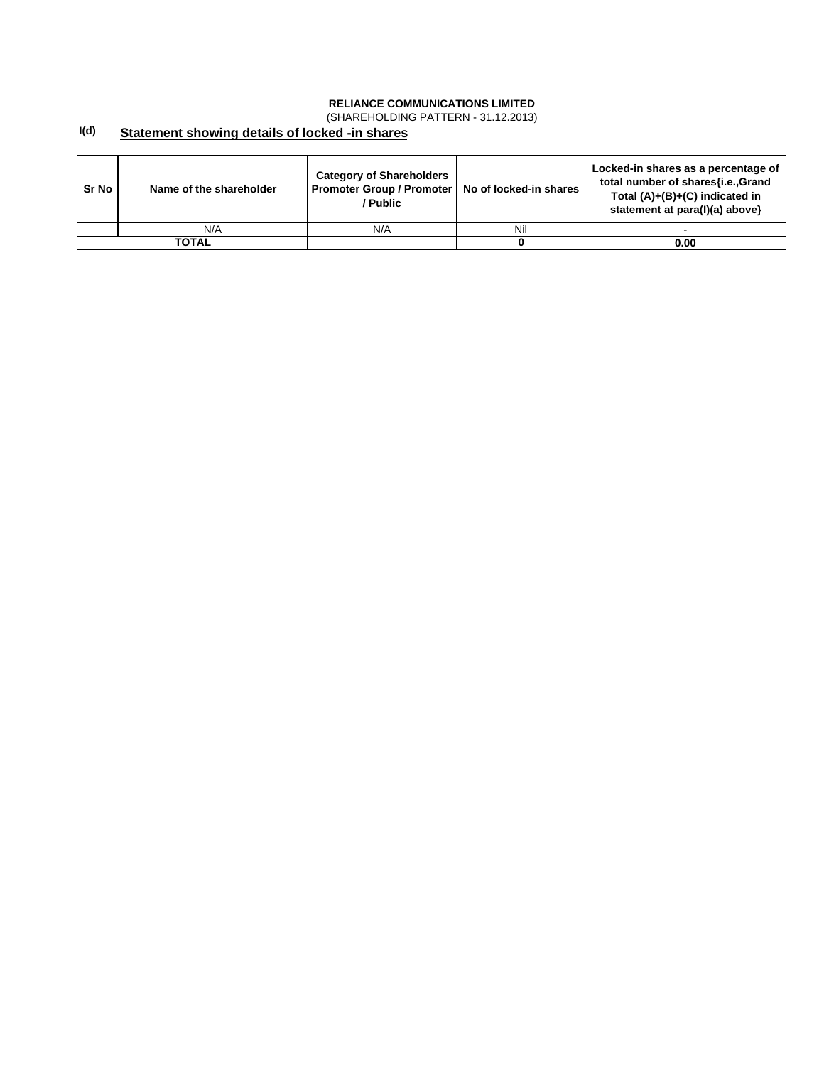(SHAREHOLDING PATTERN - 31.12.2013)

#### **I(d) Statement showing details of locked -in shares**

| Sr No | Name of the shareholder | <b>Category of Shareholders</b><br>Promoter Group / Promoter  <br>/ Public | No of locked-in shares | Locked-in shares as a percentage of<br>total number of shares{i.e.,Grand<br>Total $(A)+(B)+(C)$ indicated in<br>statement at para(I)(a) above} |
|-------|-------------------------|----------------------------------------------------------------------------|------------------------|------------------------------------------------------------------------------------------------------------------------------------------------|
|       | N/A                     | N/A                                                                        | Nil                    |                                                                                                                                                |
|       | <b>TOTAL</b>            |                                                                            |                        | 0.00                                                                                                                                           |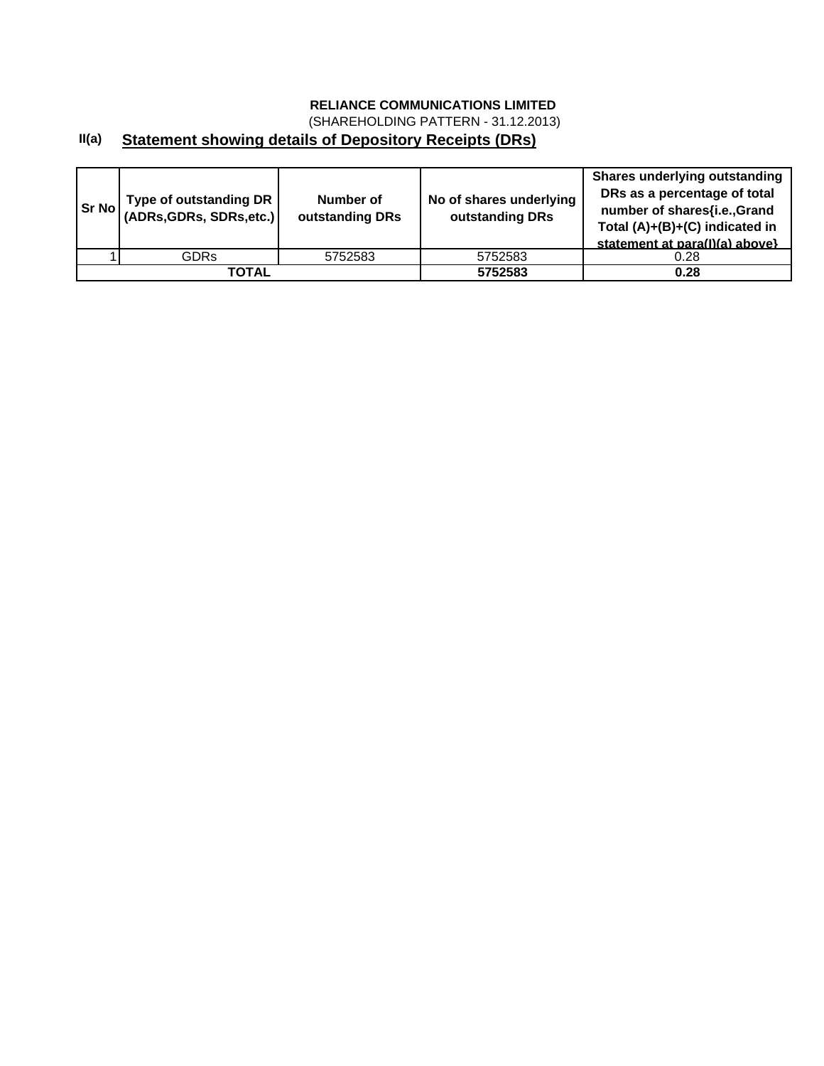(SHAREHOLDING PATTERN - 31.12.2013)

# **II(a) Statement showing details of Depository Receipts (DRs)**

| Sr No | Type of outstanding DR  <br>$ $ (ADRs, GDRs, SDRs, etc.) | Number of<br>outstanding DRs | No of shares underlying<br>outstanding DRs | <b>Shares underlying outstanding</b><br>DRs as a percentage of total<br>number of shares{i.e.,Grand<br>Total (A)+(B)+(C) indicated in<br>statement at para(I)(a) above} |
|-------|----------------------------------------------------------|------------------------------|--------------------------------------------|-------------------------------------------------------------------------------------------------------------------------------------------------------------------------|
|       | <b>GDRs</b>                                              | 5752583                      | 5752583                                    | 0.28                                                                                                                                                                    |
|       | ΤΟΤΑL                                                    |                              | 5752583                                    | 0.28                                                                                                                                                                    |